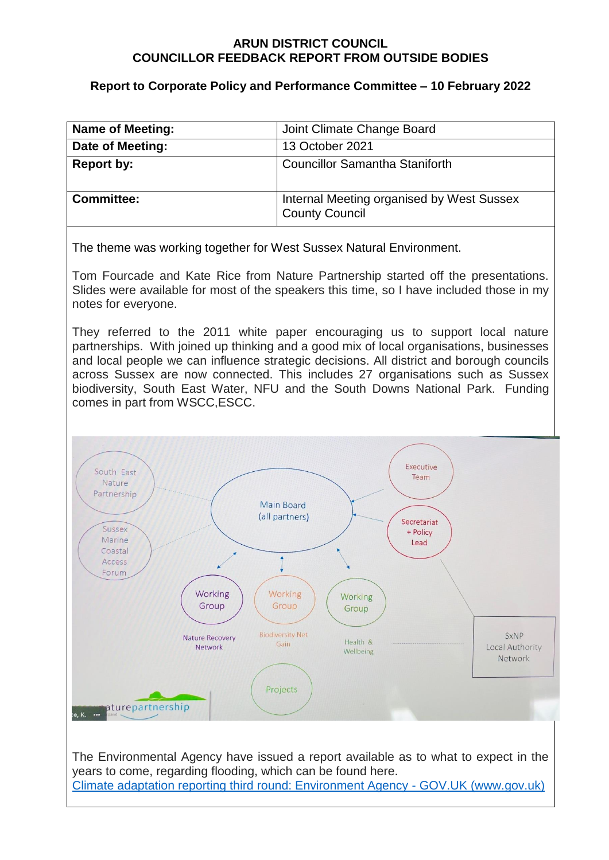#### **ARUN DISTRICT COUNCIL COUNCILLOR FEEDBACK REPORT FROM OUTSIDE BODIES**

## **Report to Corporate Policy and Performance Committee – 10 February 2022**

| <b>Name of Meeting:</b> | Joint Climate Change Board                                         |
|-------------------------|--------------------------------------------------------------------|
| Date of Meeting:        | 13 October 2021                                                    |
| <b>Report by:</b>       | <b>Councillor Samantha Staniforth</b>                              |
| <b>Committee:</b>       | Internal Meeting organised by West Sussex<br><b>County Council</b> |

The theme was working together for West Sussex Natural Environment.

Tom Fourcade and Kate Rice from Nature Partnership started off the presentations. Slides were available for most of the speakers this time, so I have included those in my notes for everyone.

They referred to the 2011 white paper encouraging us to support local nature partnerships. With joined up thinking and a good mix of local organisations, businesses and local people we can influence strategic decisions. All district and borough councils across Sussex are now connected. This includes 27 organisations such as Sussex biodiversity, South East Water, NFU and the South Downs National Park. Funding comes in part from WSCC,ESCC.



[Climate adaptation reporting third round: Environment Agency -](https://www.gov.uk/government/publications/climate-adaptation-reporting-third-round-environment-agency) GOV.UK (www.gov.uk)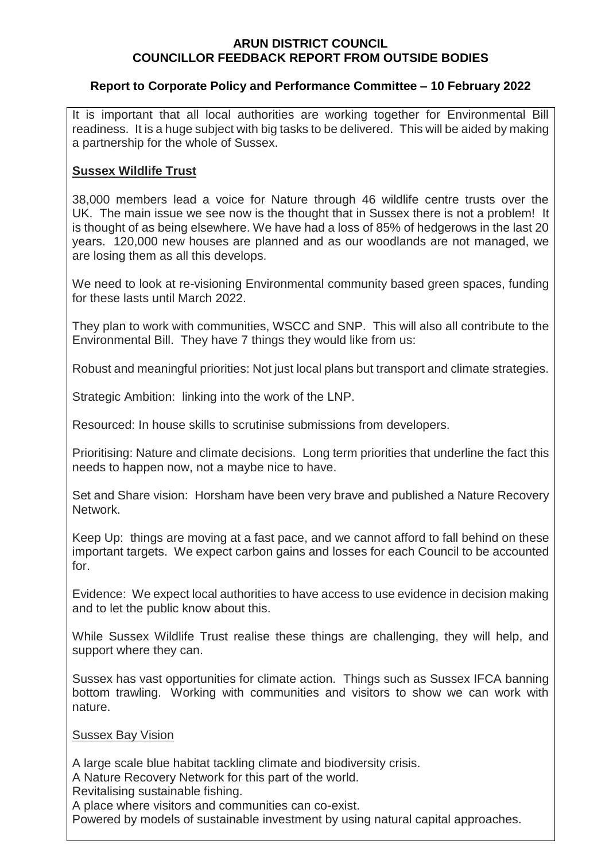### **ARUN DISTRICT COUNCIL COUNCILLOR FEEDBACK REPORT FROM OUTSIDE BODIES**

# **Report to Corporate Policy and Performance Committee – 10 February 2022**

It is important that all local authorities are working together for Environmental Bill readiness. It is a huge subject with big tasks to be delivered. This will be aided by making a partnership for the whole of Sussex.

# **Sussex Wildlife Trust**

38,000 members lead a voice for Nature through 46 wildlife centre trusts over the UK. The main issue we see now is the thought that in Sussex there is not a problem! It is thought of as being elsewhere. We have had a loss of 85% of hedgerows in the last 20 years. 120,000 new houses are planned and as our woodlands are not managed, we are losing them as all this develops.

We need to look at re-visioning Environmental community based green spaces, funding for these lasts until March 2022.

They plan to work with communities, WSCC and SNP. This will also all contribute to the Environmental Bill. They have 7 things they would like from us:

Robust and meaningful priorities: Not just local plans but transport and climate strategies.

Strategic Ambition: linking into the work of the LNP.

Resourced: In house skills to scrutinise submissions from developers.

Prioritising: Nature and climate decisions. Long term priorities that underline the fact this needs to happen now, not a maybe nice to have.

Set and Share vision: Horsham have been very brave and published a Nature Recovery Network.

Keep Up: things are moving at a fast pace, and we cannot afford to fall behind on these important targets. We expect carbon gains and losses for each Council to be accounted for.

Evidence: We expect local authorities to have access to use evidence in decision making and to let the public know about this.

While Sussex Wildlife Trust realise these things are challenging, they will help, and support where they can.

Sussex has vast opportunities for climate action. Things such as Sussex IFCA banning bottom trawling. Working with communities and visitors to show we can work with nature.

### Sussex Bay Vision

A large scale blue habitat tackling climate and biodiversity crisis.

A Nature Recovery Network for this part of the world.

Revitalising sustainable fishing.

A place where visitors and communities can co-exist.

Powered by models of sustainable investment by using natural capital approaches.